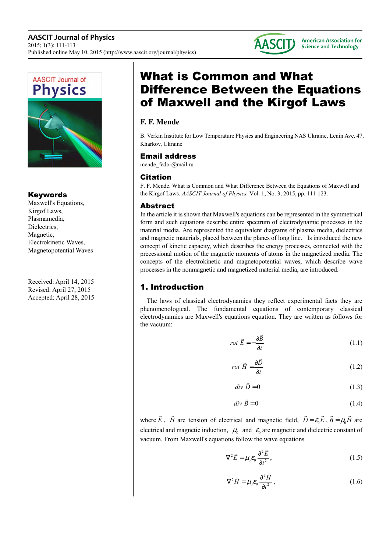



## Keywords

Maxwell's Equations, Kirgof Laws, Plasmamedia, Dielectrics, Magnetic, Electrokinetic Waves, Magnetopotential Waves

Received: April 14, 2015 Revised: April 27, 2015 Accepted: April 28, 2015

# What is Common and What Difference Between the Equations of Maxwell and the Kirgof Laws

# **F. F. Mende**

B. Verkin Institute for Low Temperature Physics and Engineering NAS Ukraine, Lenin Ave. 47, Kharkov, Ukraine

### Email address

mende fedor@mail.ru

### Citation

F. F. Mende. What is Common and What Difference Between the Equations of Maxwell and the Kirgof Laws. *AASCIT Journal of Physics.* Vol. 1, No. 3, 2015, pp. 111-123.

### Abstract

In the article it is shown that Maxwell's equations can be represented in the symmetrical form and such equations describe entire spectrum of electrodynamic processes in the material media. Are represented the equivalent diagrams of plasma media, dielectrics and magnetic materials, placed between the planes of long line. Is introduced the new concept of kinetic capacity, which describes the energy processes, connected with the precessional motion of the magnetic moments of atoms in the magnetized media. The concepts of the electrokinetic and magnetopotential waves, which describe wave processes in the nonmagnetic and magnetized material media, are introduced.

# 1. Introduction

The laws of classical electrodynamics they reflect experimental facts they are phenomenological. The fundamental equations of contemporary classical electrodynamics are Maxwell's equations equation. They are written as follows for the vacuum:

$$
rot\ \vec{E} = -\frac{\partial \vec{B}}{\partial t}
$$
 (1.1)

$$
rot \ \vec{H} = \frac{\partial \vec{D}}{\partial t}
$$
 (1.2)

$$
div \ \vec{D} = 0 \tag{1.3}
$$

$$
div \ \vec{B} = 0 \tag{1.4}
$$

where  $\overline{a}$ *E* ,  $\overline{a}$ *H* are tension of electrical and magnetic field,  $D = \varepsilon_0 E$  $\overline{a}$  $B = \mu_0 H$  $\overline{a}$ are electrical and magnetic induction,  $\mu_0$  and  $\varepsilon_0$  are magnetic and dielectric constant of vacuum. From Maxwell's equations follow the wave equations

$$
\nabla^2 \vec{E} = \mu_0 \varepsilon_0 \frac{\partial^2 \vec{E}}{\partial t^2},
$$
 (1.5)

$$
\nabla^2 \vec{H} = \mu_0 \varepsilon_0 \frac{\partial^2 \vec{H}}{\partial t^2},
$$
\n(1.6)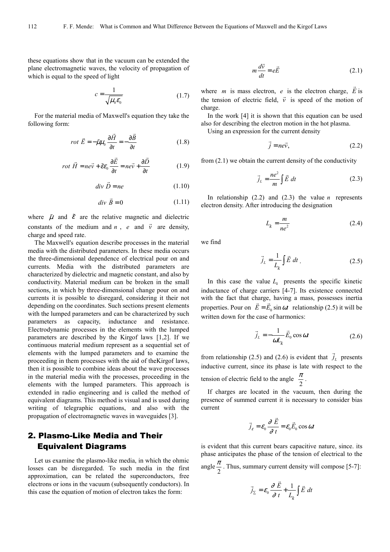these equations show that in the vacuum can be extended the plane electromagnetic waves, the velocity of propagation of which is equal to the speed of light

$$
c = \frac{1}{\sqrt{\mu_0 \varepsilon_0}}\tag{1.7}
$$

For the material media of Maxwell's equation they take the following form:

$$
rot\ \vec{E} = -\tilde{\mu}\mu_0 \frac{\partial \vec{H}}{\partial t} = -\frac{\partial \vec{B}}{\partial t}
$$
 (1.8)

$$
rot \vec{H} = ne\vec{v} + \tilde{\varepsilon}\varepsilon_0 \frac{\partial \vec{E}}{\partial t} = ne\vec{v} + \frac{\partial \vec{D}}{\partial t}
$$
(1.9)

$$
div \ \vec{D} = ne \tag{1.10}
$$

$$
div \ \vec{B} = 0 \tag{1.11}
$$

where  $\tilde{\mu}$  and  $\tilde{\varepsilon}$  are the relative magnetic and dielectric constants of the medium and *n*, *e* and  $\vec{v}$  are density, charge and speed rate.

The Maxwell's equation describe processes in the material media with the distributed parameters. In these media occurs the three-dimensional dependence of electrical pour on and currents. Media with the distributed parameters are characterized by dielectric and magnetic constant, and also by conductivity. Material medium can be broken in the small sections, in which by three-dimensional change pour on and currents it is possible to disregard, considering it their not depending on the coordinates. Such sections present elements with the lumped parameters and can be characterized by such parameters as capacity, inductance and resistance. Electrodynamic processes in the elements with the lumped parameters are described by the Kirgof laws [1,2]. If we continuous material medium represent as a sequential set of elements with the lumped parameters and to examine the proceeding in them processes with the aid of theKirgof laws, then it is possible to combine ideas about the wave processes in the material media with the processes, proceeding in the elements with the lumped parameters. This approach is extended in radio engineering and is called the method of equivalent diagrams. This method is visual and is used during writing of telegraphic equations, and also with the propagation of electromagnetic waves in waveguides [3].

# 2. Plasmo-Like Media and Their Equivalent Diagrams

Let us examine the plasmo-like media, in which the ohmic losses can be disregarded. To such media in the first approximation, can be related the superconductors, free electrons or ions in the vacuum (subsequently conductors). In this case the equation of motion of electron takes the form:

$$
m\frac{d\vec{v}}{dt} = e\vec{E}
$$
 (2.1)

where *m* is mass electron, *e* is the electron charge,  $\overline{a}$ *E* is where *m* is mass electron, e is the electron enarge, *E* is the tension of electric field,  $\vec{v}$  is speed of the motion of charge.

In the work [4] it is shown that this equation can be used also for describing the electron motion in the hot plasma.

Using an expression for the current density

$$
\vec{j} = ne\vec{v},\tag{2.2}
$$

from (2.1) we obtain the current density of the conductivity

$$
\vec{j}_L = \frac{ne^2}{m} \int \vec{E} \, dt \tag{2.3}
$$

In relationship  $(2.2)$  and  $(2.3)$  the value *n* represents electron density. After introducing the designation

$$
L_k = \frac{m}{ne^2} \tag{2.4}
$$

we find

$$
\vec{j}_L = \frac{1}{L_k} \int \vec{E} \, dt \tag{2.5}
$$

In this case the value  $L_k$  presents the specific kinetic inductance of charge carriers [4-7]. Its existence connected with the fact that charge, having a mass, possesses inertia properties. Pour on  $E = E_0 \sin \omega t$  relationship (2.5) it will be written down for the case of harmonics:

$$
\vec{j}_L = -\frac{1}{\omega L_k} \vec{E}_0 \cos \omega t
$$
 (2.6)

from relationship (2.5) and (2.6) is evident that  $\rightarrow$  $j_L$  presents inductive current, since its phase is late with respect to the tension of electric field to the angle  $\frac{\pi}{2}$  $\frac{\pi}{2}$ .

If charges are located in the vacuum, then during the presence of summed current it is necessary to consider bias current

$$
\vec{j}_\varepsilon = \varepsilon_0 \frac{\partial \vec{E}}{\partial t} = \varepsilon_0 \vec{E}_0 \cos \omega t
$$

is evident that this current bears capacitive nature, since. its phase anticipates the phase of the tension of electrical to the angle  $\frac{\pi}{2}$  $\frac{\pi}{2}$ . Thus, summary current density will compose [5-7]:

$$
\vec{j}_{\Sigma} = \varepsilon_0 \frac{\partial \vec{E}}{\partial t} + \frac{1}{L_k} \int \vec{E} dt
$$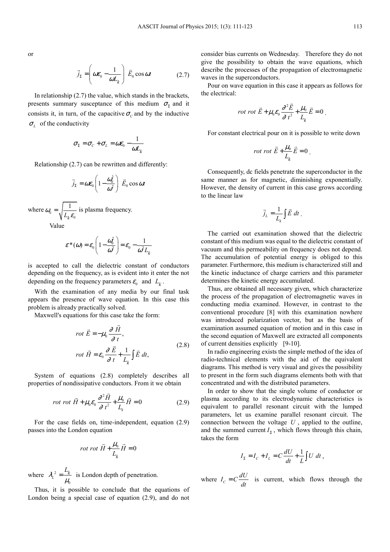or

$$
\vec{j}_{\Sigma} = \left(\omega \varepsilon_0 - \frac{1}{\omega L_k}\right) \vec{E}_0 \cos \omega t
$$
 (2.7)

In relationship  $(2.7)$  the value, which stands in the brackets, presents summary susceptance of this medium  $\sigma_{\Sigma}$  and it consists it, in turn, of the capacitive  $\sigma_c$  and by the inductive  $\sigma_{\scriptscriptstyle L}$  of the conductivity

$$
\sigma_{\Sigma} = \sigma_C + \sigma_L = \omega \varepsilon_0 - \frac{1}{\omega L_k}
$$

Relationship (2.7) can be rewritten and differently:

$$
\vec{j}_{\Sigma} = \omega \varepsilon_0 \left( 1 - \frac{\omega_0^2}{\omega^2} \right) \vec{E}_0 \cos \omega t
$$

where  $\omega_0 = \sqrt{\frac{1}{L_k \varepsilon_0}}$  $=\frac{1}{x}$  $\omega_0 = \sqrt{\frac{1}{L_k \varepsilon_0}}$  is plasma frequency. Value

$$
\varepsilon^*(\omega) = \varepsilon_0 \left( 1 - \frac{\omega_0^2}{\omega^2} \right) = \varepsilon_0 - \frac{1}{\omega^2 L_k}
$$

is accepted to call the dielectric constant of conductors depending on the frequency, as is evident into it enter the not depending on the frequency parameters  $\varepsilon_0$  and  $L_k$ .

With the examination of any media by our final task appears the presence of wave equation. In this case this problem is already practically solved.

Maxwell's equations for this case take the form:

$$
rot \vec{E} = -\mu_0 \frac{\partial \vec{H}}{\partial t},
$$
  

$$
rot \vec{H} = \varepsilon_0 \frac{\partial \vec{E}}{\partial t} + \frac{1}{L_k} \int \vec{E} dt,
$$
 (2.8)

System of equations (2.8) completely describes all properties of nondissipative conductors. From it we obtain

$$
rot \ \vec{H} + \mu_0 \varepsilon_0 \frac{\partial^2 \vec{H}}{\partial t^2} + \frac{\mu_0}{L_k} \vec{H} = 0 \tag{2.9}
$$

For the case fields on, time-independent, equation (2.9) passes into the London equation

$$
rot \, rot \, \vec{H} + \frac{\mu_0}{L_k} \vec{H} = 0
$$

where  $\lambda_l^2$ 0  $\lambda_L^2 = \frac{L_k}{L}$  $\frac{k}{\mu_0}$  is London depth of penetration.

Thus, it is possible to conclude that the equations of London being a special case of equation (2.9), and do not

consider bias currents on Wednesday. Therefore they do not give the possibility to obtain the wave equations, which describe the processes of the propagation of electromagnetic waves in the superconductors.

Pour on wave equation in this case it appears as follows for the electrical:

$$
rot \ \vec{E} + \mu_0 \varepsilon_0 \frac{\partial^2 \vec{E}}{\partial t^2} + \frac{\mu_0}{L_k} \vec{E} = 0 \ .
$$

For constant electrical pour on it is possible to write down

$$
rot \tot E + \frac{\mu_0}{L_k} \vec{E} = 0
$$

Consequently, dc fields penetrate the superconductor in the same manner as for magnetic, diminishing exponentially. However, the density of current in this case grows according to the linear law

$$
\vec{j}_L = \frac{1}{L_k} \int \vec{E} \, dt \, .
$$

The carried out examination showed that the dielectric constant of this medium was equal to the dielectric constant of vacuum and this permeability on frequency does not depend. The accumulation of potential energy is obliged to this parameter. Furthermore, this medium is characterized still and the kinetic inductance of charge carriers and this parameter determines the kinetic energy accumulated.

Thus, are obtained all necessary given, which characterize the process of the propagation of electromagnetic waves in conducting media examined. However, in contrast to the conventional procedure [8] with this examination nowhere was introduced polarization vector, but as the basis of examination assumed equation of motion and in this case in the second equation of Maxwell are extracted all components of current densities explicitly [9-10].

In radio engineering exists the simple method of the idea of radio-technical elements with the aid of the equivalent diagrams. This method is very visual and gives the possibility to present in the form such diagrams elements both with that concentrated and with the distributed parameters.

In order to show that the single volume of conductor or plasma according to its electrodynamic characteristics is equivalent to parallel resonant circuit with the lumped parameters, let us examine parallel resonant circuit. The connection between the voltage *U* , applied to the outline, and the summed current  $I_{\Sigma}$ , which flows through this chain, takes the form

$$
I_{\Sigma} = I_C + I_L = C\frac{dU}{dt} + \frac{1}{L}\int U dt,
$$

where  $I_c = C \frac{dU}{dt}$  is current, which flows through the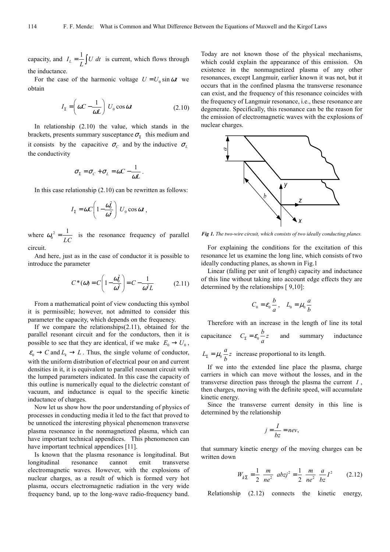capacity, and  $I_L = \frac{1}{L} \int U dt$  is current, which flows through the inductance.

For the case of the harmonic voltage  $U = U_0 \sin \omega t$  we obtain

$$
I_{\Sigma} = \left(\omega C - \frac{1}{\omega L}\right) U_0 \cos \omega t \tag{2.10}
$$

In relationship (2.10) the value, which stands in the brackets, presents summary susceptance  $\sigma_{\Sigma}$  this medium and it consists by the capacitive  $\sigma_c$  and by the inductive  $\sigma_L$ the conductivity

$$
\sigma_{\Sigma} = \sigma_{C} + \sigma_{L} = \omega C - \frac{1}{\omega L}.
$$

In this case relationship (2.10) can be rewritten as follows:

$$
I_{\Sigma} = \omega C \left( 1 - \frac{\omega_0^2}{\omega^2} \right) U_0 \cos \omega t ,
$$

where  $\omega_0^2 = \frac{1}{LC}$  is the resonance frequency of parallel circuit.

And here, just as in the case of conductor it is possible to introduce the parameter

$$
C^*(\omega) = C \left( 1 - \frac{\omega_0^2}{\omega^2} \right) = C - \frac{1}{\omega^2 L} \tag{2.11}
$$

From a mathematical point of view conducting this symbol it is permissible; however, not admitted to consider this parameter the capacity, which depends on the frequency.

If we compare the relationships(2.11), obtained for the parallel resonant circuit and for the conductors, then it is possible to see that they are identical, if we make  $E_0 \rightarrow U_0$ ,  $\varepsilon_0 \to C$  and  $L_k \to L$ . Thus, the single volume of conductor, with the uniform distribution of electrical pour on and current densities in it, it is equivalent to parallel resonant circuit with the lumped parameters indicated. In this case the capacity of this outline is numerically equal to the dielectric constant of vacuum, and inductance is equal to the specific kinetic inductance of charges.

Now let us show how the poor understanding of physics of processes in conducting media it led to the fact that proved to be unnoticed the interesting physical phenomenon transverse plasma resonance in the nonmagnetized plasma, which can have important technical appendices. This phenomenon can have important technical appendices [11].

Is known that the plasma resonance is longitudinal. But longitudinal resonance cannot emit transverse electromagnetic waves. However, with the explosions of nuclear charges, as a result of which is formed very hot plasma, occurs electromagnetic radiation in the very wide frequency band, up to the long-wave radio-frequency band.

Today are not known those of the physical mechanisms, which could explain the appearance of this emission. On existence in the nonmagnetized plasma of any other resonances, except Langmuir, earlier known it was not, but it occurs that in the confined plasma the transverse resonance can exist, and the frequency of this resonance coincides with the frequency of Langmuir resonance, i.e., these resonance are degenerate. Specifically, this resonance can be the reason for the emission of electromagnetic waves with the explosions of nuclear charges.



*Fig 1. The two-wire circuit, which consists of two ideally conducting planes.* 

For explaining the conditions for the excitation of this resonance let us examine the long line, which consists of two ideally conducting planes, as shown in Fig.1

Linear (falling per unit of length) capacity and inductance of this line without taking into account edge effects they are determined by the relationships [ 9,10]:

$$
C_0 = \varepsilon_0 \frac{b}{a}, \quad L_0 = \mu_0 \frac{a}{b}
$$

Therefore with an increase in the length of line its total capacitance  $C_{\Sigma} = \varepsilon_0 \frac{b}{a} z$  and summary inductance

 $L_{\Sigma} = \mu_0 \frac{a}{b} z$  increase proportional to its length.

If we into the extended line place the plasma, charge carriers in which can move without the losses, and in the transverse direction pass through the plasma the current *I* , then charges, moving with the definite speed, will accumulate kinetic energy.

Since the transverse current density in this line is determined by the relationship

$$
j = \frac{I}{bz} = nev,
$$

that summary kinetic energy of the moving charges can be written down

$$
W_{k\Sigma} = \frac{1}{2} \frac{m}{ne^2} \ abzj^2 = \frac{1}{2} \frac{m}{ne^2} \frac{a}{bz} I^2 \qquad (2.12)
$$

Relationship (2.12) connects the kinetic energy,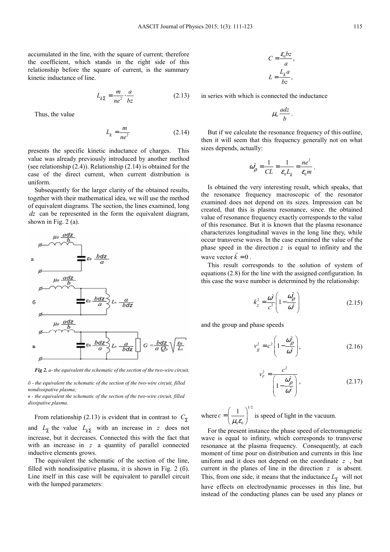accumulated in the line, with the square of current; therefore the coefficient, which stands in the right side of this relationship before the square of current, is the summary kinetic inductance of line.

$$
L_{k\Sigma} = \frac{m}{ne^2} \cdot \frac{a}{bz} \tag{2.13}
$$

Thus, the value

$$
L_k = \frac{m}{ne^2} \tag{2.14}
$$

presents the specific kinetic inductance of charges. This value was already previously introduced by another method (see relationship (2.4)). Relationship (2.14) is obtained for the case of the direct current, when current distribution is uniform.

Subsequently for the larger clarity of the obtained results, together with their mathematical idea, we will use the method of equivalent diagrams. The section, the lines examined, long *dz* can be represented in the form the equivalent diagram, shown in Fig. 2 (a).



*Fig 2. а- the equivalent the schematic of the section of the two-wire circuit.* 

*б - the equivalent the schematic of the section of the two-wire circuit, filled nondissipative plasma;* 

*в - the equivalent the schematic of the section of the two-wire circuit, filled dissipative plasma.* 

From relationship (2.13) is evident that in contrast to  $C_{\Sigma}$ and  $L_{\Sigma}$  the value  $L_{k\Sigma}$  with an increase in *z* does not increase, but it decreases. Connected this with the fact that with an increase in z a quantity of parallel connected inductive elements grows.

The equivalent the schematic of the section of the line, filled with nondissipative plasma, it is shown in Fig. 2 (6). Line itself in this case will be equivalent to parallel circuit with the lumped parameters:

$$
C = \frac{\varepsilon_0 bz}{a},
$$
  

$$
L = \frac{L_k a}{bz},
$$

in series with which is connected the inductance

$$
\mu_0 \frac{adz}{b}.
$$

But if we calculate the resonance frequency of this outline, then it will seem that this frequency generally not on what sizes depends, actually:

$$
\omega_{\rho}^2 = \frac{1}{CL} = \frac{1}{\varepsilon_0 L_k} = \frac{ne^2}{\varepsilon_0 m}.
$$

Is obtained the very interesting result, which speaks, that the resonance frequency macroscopic of the resonator examined does not depend on its sizes. Impression can be created, that this is plasma resonance, since. the obtained value of resonance frequency exactly corresponds to the value of this resonance. But it is known that the plasma resonance characterizes longitudinal waves in the long line they, while occur transverse waves. In the case examined the value of the phase speed in the direction  $z$  is equal to infinity and the wave vector  $k = 0$ .

This result corresponds to the solution of system of equations (2.8) for the line with the assigned configuration. In this case the wave number is determined by the relationship:

$$
k_z^2 = \frac{\omega^2}{c^2} \left( 1 - \frac{\omega_\rho^2}{\omega^2} \right) \tag{2.15}
$$

and the group and phase speeds

$$
v_g^2 = c^2 \left( 1 - \frac{\omega_\rho^2}{\omega^2} \right),\tag{2.16}
$$

$$
\frac{c^2}{F} = \frac{c^2}{\left(1 - \frac{\omega_\rho^2}{\omega^2}\right)},
$$
\n(2.17)

where 1/2  $0 - 0$  $\begin{pmatrix} 1 \end{pmatrix}$  $c = \left(\frac{1}{\mu_0 \varepsilon_0}\right)$  is speed of light in the vacuum.

*v*

For the present instance the phase speed of electromagnetic wave is equal to infinity, which corresponds to transverse resonance at the plasma frequency. Consequently, at each moment of time pour on distribution and currents in this line uniform and it does not depend on the coordinate *z* , but current in the planes of line in the direction *z* is absent. This, from one side, it means that the inductance  $L_{\Sigma}$  will not have effects on electrodynamic processes in this line, but instead of the conducting planes can be used any planes or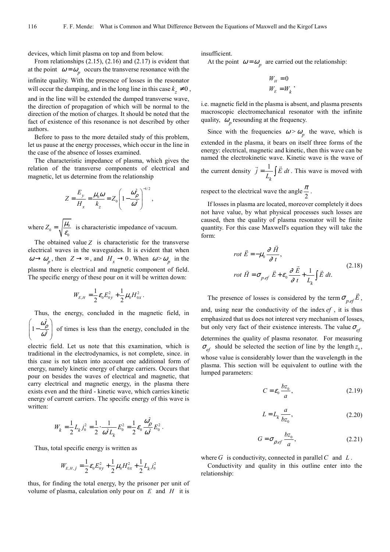devices, which limit plasma on top and from below.

From relationships (2.15), (2.16) and (2.17) is evident that at the point  $\omega = \omega_p$  occurs the transverse resonance with the infinite quality. With the presence of losses in the resonator will occur the damping, and in the long line in this case  $k_z \neq 0$ ,

and in the line will be extended the damped transverse wave, the direction of propagation of which will be normal to the direction of the motion of charges. It should be noted that the fact of existence of this resonance is not described by other authors.

Before to pass to the more detailed study of this problem, let us pause at the energy processes, which occur in the line in the case of the absence of losses examined.

The characteristic impedance of plasma, which gives the relation of the transverse components of electrical and magnetic, let us determine from the relationship

$$
Z = \frac{E_y}{H_x} = \frac{\mu_0 \omega}{k_z} = Z_0 \left( 1 - \frac{\omega_\rho^2}{\omega^2} \right)^{-1/2},
$$

where  $Z_0 = \sqrt{\frac{\mu_0}{\varepsilon_0}}$  $Z_0 = \sqrt{\frac{\mu_0}{2}}$  $\frac{\mu_0}{\varepsilon_0}$  is characteristic impedance of vacuum.

The obtained value *Z* is characteristic for the transverse electrical waves in the waveguides. It is evident that when  $\omega \rightarrow \omega_p$ , then  $Z \rightarrow \infty$ , and  $H_x \rightarrow 0$ . When  $\omega > \omega_p$  in the plasma there is electrical and magnetic component of field. The specific energy of these pour on it will be written down:

$$
W_{E,H} = \frac{1}{2} \varepsilon_0 E_{0y}^2 + \frac{1}{2} \mu_0 H_{0x}^2.
$$

Thus, the energy, concluded in the magnetic field, in 2  $\left(1-\frac{\omega_{\rho}^2}{\omega^2}\right)$ 

 $\left(1-\frac{\omega_{\rho}^{2}}{\omega^{2}}\right)$  $\frac{\mu}{\omega^2}$  of times is less than the energy, concluded in the

electric field. Let us note that this examination, which is traditional in the electrodynamics, is not complete, since. in this case is not taken into account one additional form of energy, namely kinetic energy of charge carriers. Occurs that pour on besides the waves of electrical and magnetic, that carry electrical and magnetic energy, in the plasma there exists even and the third - kinetic wave, which carries kinetic energy of current carriers. The specific energy of this wave is written:

$$
W_k = \frac{1}{2} L_k j_0^2 = \frac{1}{2} \cdot \frac{1}{\omega^2 L_k} E_0^2 = \frac{1}{2} \varepsilon_0 \frac{\omega_\rho^2}{\omega^2} E_0^2.
$$

Thus, total specific energy is written as

$$
W_{E,H,j} = \frac{1}{2} \varepsilon_0 E_{0y}^2 + \frac{1}{2} \mu_0 H_{0x}^2 + \frac{1}{2} L_k j_0^2
$$

thus, for finding the total energy, by the prisoner per unit of volume of plasma, calculation only pour on *E* and *H* it is

insufficient.

At the point  $\omega = \omega_p$  are carried out the relationship:

$$
W_H = 0
$$
  

$$
W_E = W_k
$$

i.e. magnetic field in the plasma is absent, and plasma presents macroscopic electromechanical resonator with the infinite quality,  $\omega_p$  resounding at the frequency.

Since with the frequencies  $\omega > \omega_p$  the wave, which is extended in the plasma, it bears on itself three forms of the energy: electrical, magnetic and kinetic, then this wave can be named the electrokinetic wave. Kinetic wave is the wave of the current density  $\vec{j} = \frac{1}{L} \int \vec{E}$ *k*  $j = \frac{1}{L_k} \int E \, dt$ . This wave is moved with

respect to the electrical wave the angle  $\frac{\pi}{2}$  $\frac{\pi}{2}$ .

If losses in plasma are located, moreover completely it does not have value, by what physical processes such losses are caused, then the quality of plasma resonator will be finite quantity. For this case Maxwell's equation they will take the form:

$$
rot \vec{E} = -\mu_0 \frac{\partial \vec{H}}{\partial t},
$$
  
\n
$$
rot \vec{H} = \sigma_{p,ef} \vec{E} + \varepsilon_0 \frac{\partial \vec{E}}{\partial t} + \frac{1}{L_k} \int \vec{E} dt.
$$
\n(2.18)

The presence of losses is considered by the term  $\sigma_{p,ef} E$ ,  $\overline{a}$ and, using near the conductivity of the index *ef* , it is thus emphasized that us does not interest very mechanism of losses, but only very fact of their existence interests. The value  $\sigma_{\rm ef}$ 

determines the quality of plasma resonator. For measuring  $\sigma_{ef}$  should be selected the section of line by the length  $z_0$ , whose value is considerably lower than the wavelength in the plasma. This section will be equivalent to outline with the lumped parameters:

$$
C = \varepsilon_0 \frac{bz_0}{a},\tag{2.19}
$$

$$
L = L_k \frac{a}{bz_0},\tag{2.20}
$$

$$
G = \sigma_{\rho, ef} \frac{bz_0}{a},\tag{2.21}
$$

where  $G$  is conductivity, connected in parallel  $C$  and  $L$ .

Conductivity and quality in this outline enter into the relationship: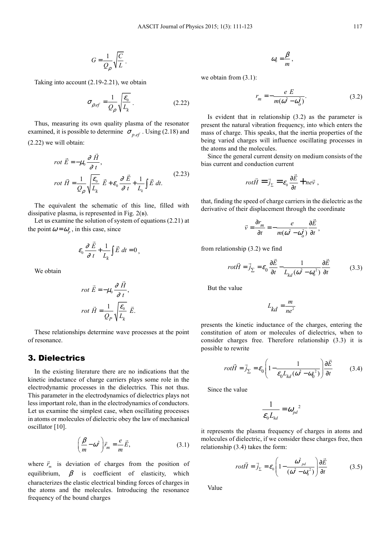$$
G = \frac{1}{Q_{\rho}} \sqrt{\frac{C}{L}}.
$$

Taking into account (2.19-2.21), we obtain

$$
\sigma_{\rho.ef} = \frac{1}{Q_{\rho}} \sqrt{\frac{\varepsilon_0}{L_k}} \,. \tag{2.22}
$$

Thus, measuring its own quality plasma of the resonator examined, it is possible to determine  $\sigma_{p,ef}$ . Using (2.18) and (2.22) we will obtain:

$$
rot \vec{E} = -\mu_0 \frac{\partial \vec{H}}{\partial t},
$$
  
\n
$$
rot \vec{H} = \frac{1}{Q_{\rho}} \sqrt{\frac{\varepsilon_0}{L_k}} \vec{E} + \varepsilon_0 \frac{\partial \vec{E}}{\partial t} + \frac{1}{L_k} \int \vec{E} dt.
$$
 (2.23)

The equivalent the schematic of this line, filled with dissipative plasma, is represented in Fig. 2(в).

Let us examine the solution of system of equations (2.21) at the point  $\omega = \omega_p$ , in this case, since

$$
\varepsilon_0 \frac{\partial \vec{E}}{\partial t} + \frac{1}{L_k} \int \vec{E} dt = 0,
$$

We obtain

$$
rot \vec{E} = -\mu_0 \frac{\partial \vec{H}}{\partial t},
$$
  

$$
rot \vec{H} = \frac{1}{Q_P} \sqrt{\frac{\varepsilon_0}{L_k}} \vec{E}.
$$

 $\overline{a}$ 

These relationships determine wave processes at the point of resonance.

### 3. Dielectrics

In the existing literature there are no indications that the kinetic inductance of charge carriers plays some role in the electrodynamic processes in the dielectrics. This not thus. This parameter in the electrodynamics of dielectrics plays not less important role, than in the electrodynamics of conductors. Let us examine the simplest case, when oscillating processes in atoms or molecules of dielectric obey the law of mechanical oscillator [10].

$$
\left(\frac{\beta}{m} - \omega^2\right)\vec{r}_m = \frac{e}{m}\vec{E},\tag{3.1}
$$

where  $\vec{r}_m$  is deviation of charges from the position of equilibrium,  $\beta$  is coefficient of elasticity, which characterizes the elastic electrical binding forces of charges in the atoms and the molecules. Introducing the resonance frequency of the bound charges

$$
\omega_{0}=\frac{\beta}{m}\,,
$$

we obtain from (3.1):

$$
r_m = -\frac{e E}{m(\omega^2 - \omega_o^2)}.
$$
 (3.2)

Is evident that in relationship (3.2) as the parameter is present the natural vibration frequency, into which enters the mass of charge. This speaks, that the inertia properties of the being varied charges will influence oscillating processes in the atoms and the molecules.

Since the general current density on medium consists of the bias current and conduction current

$$
rot\vec{H} = \vec{j}_{\Sigma} = \varepsilon_0 \frac{\partial \vec{E}}{\partial t} + n e \vec{v} ,
$$

that, finding the speed of charge carriers in the dielectric as the derivative of their displacement through the coordinate

$$
\vec{v} = \frac{\partial r_m}{\partial t} = -\frac{e}{m(\omega^2 - \omega_o^2)} \frac{\partial \vec{E}}{\partial t},
$$

from relationship (3.2) we find

$$
rot\vec{H} = \vec{j}_{\Sigma} = \varepsilon_0 \frac{\partial \vec{E}}{\partial t} - \frac{1}{L_{kd} (\omega^2 - \omega_0^2)} \frac{\partial \vec{E}}{\partial t}
$$
(3.3)

But the value

$$
L_{kd} = \frac{m}{ne^2}
$$

presents the kinetic inductance of the charges, entering the constitution of atom or molecules of dielectrics, when to consider charges free. Therefore relationship (3.3) it is possible to rewrite

$$
rot\vec{H} = \vec{j}_{\Sigma} = \varepsilon_0 \left( 1 - \frac{1}{\varepsilon_0 L_{kd} (\omega^2 - \omega_0^2)} \right) \frac{\partial \vec{E}}{\partial t}
$$
(3.4)

Since the value

$$
\frac{1}{\varepsilon_0 L_{kd}} = \omega_{pd}^2
$$

it represents the plasma frequency of charges in atoms and molecules of dielectric, if we consider these charges free, then relationship (3.4) takes the form:

$$
rot\vec{H} = \vec{j}_{\Sigma} = \varepsilon_0 \left( 1 - \frac{\omega_{pd}^2}{\left(\omega^2 - {\omega_0}^2\right)} \right) \frac{\partial \vec{E}}{\partial t}
$$
(3.5)

Value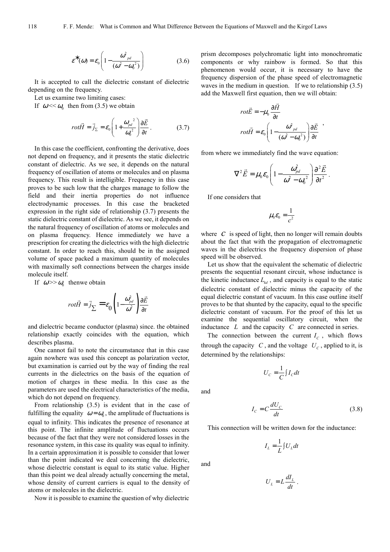$$
\varepsilon^*(\omega) = \varepsilon_0 \left( 1 - \frac{\omega_{pd}^2}{(\omega^2 - \omega_0^2)} \right) \tag{3.6}
$$

It is accepted to call the dielectric constant of dielectric depending on the frequency.

Let us examine two limiting cases:

If  $\omega \ll \omega_0$  then from (3.5) we obtain

$$
rot\vec{H} = \vec{j}_{\Sigma} = \varepsilon_0 \left( 1 + \frac{\omega_{pd}^2}{\omega_0^2} \right) \frac{\partial \vec{E}}{\partial t} \,. \tag{3.7}
$$

In this case the coefficient, confronting the derivative, does not depend on frequency, and it presents the static dielectric constant of dielectric. As we see, it depends on the natural frequency of oscillation of atoms or molecules and on plasma frequency. This result is intelligible. Frequency in this case proves to be such low that the charges manage to follow the field and their inertia properties do not influence electrodynamic processes. In this case the bracketed expression in the right side of relationship (3.7) presents the static dielectric constant of dielectric. As we see, it depends on the natural frequency of oscillation of atoms or molecules and on plasma frequency. Hence immediately we have a prescription for creating the dielectrics with the high dielectric constant. In order to reach this, should be in the assigned volume of space packed a maximum quantity of molecules with maximally soft connections between the charges inside molecule itself.

If  $\omega \gg \omega_0$  thenwe obtain

$$
rot\vec{H} = \vec{j}_{\sum} = \varepsilon_0 \left( 1 - \frac{\omega_{pd}^2}{\omega^2} \right) \frac{\partial \vec{E}}{\partial t}
$$

and dielectric became conductor (plasma) since. the obtained relationship exactly coincides with the equation, which describes plasma.

One cannot fail to note the circumstance that in this case again nowhere was used this concept as polarization vector, but examination is carried out by the way of finding the real currents in the dielectrics on the basis of the equation of motion of charges in these media. In this case as the parameters are used the electrical characteristics of the media, which do not depend on frequency.

From relationship (3.5) is evident that in the case of fulfilling the equality  $\omega = \omega_0$ , the amplitude of fluctuations is equal to infinity. This indicates the presence of resonance at this point. The infinite amplitude of fluctuations occurs because of the fact that they were not considered losses in the resonance system, in this case its quality was equal to infinity. In a certain approximation it is possible to consider that lower than the point indicated we deal concerning the dielectric, whose dielectric constant is equal to its static value. Higher than this point we deal already actually concerning the metal, whose density of current carriers is equal to the density of atoms or molecules in the dielectric.

Now it is possible to examine the question of why dielectric

prism decomposes polychromatic light into monochromatic components or why rainbow is formed. So that this phenomenon would occur, it is necessary to have the frequency dispersion of the phase speed of electromagnetic waves in the medium in question. If we to relationship (3.5) add the Maxwell first equation, then we will obtain:

$$
rot\vec{E} = -\mu_0 \frac{\partial \vec{H}}{\partial t}
$$

$$
rot\vec{H} = \varepsilon_0 \left(1 - \frac{\omega_{pd}^2}{(\omega^2 - \omega_0^2)}\right) \frac{\partial \vec{E}}{\partial t} ,
$$

from where we immediately find the wave equation:

$$
\nabla^2 \vec{E} = \mu_0 \varepsilon_0 \left( 1 - \frac{\omega_{pd}^2}{\omega^2 - {\omega_0}^2} \right) \frac{\partial^2 \vec{E}}{\partial t^2}.
$$

If one considers that

$$
\mu_0 \varepsilon_0 = \frac{1}{c^2}
$$

where  $C$  is speed of light, then no longer will remain doubts about the fact that with the propagation of electromagnetic waves in the dielectrics the frequency dispersion of phase speed will be observed.

Let us show that the equivalent the schematic of dielectric presents the sequential resonant circuit, whose inductance is the kinetic inductance  $L_{k,d}$ , and capacity is equal to the static dielectric constant of dielectric minus the capacity of the equal dielectric constant of vacuum. In this case outline itself proves to be that shunted by the capacity, equal to the specific dielectric constant of vacuum. For the proof of this let us examine the sequential oscillatory circuit, when the inductance *L* and the capacity *C* are connected in series.

The connection between the current  $I_c$ , which flows through the capacity *C*, and the voltage  $U_c$ , applied to it, is determined by the relationships:

$$
U_C = \frac{1}{C} \int I_C dt
$$

and

$$
I_C = C \frac{dU_C}{dt} \tag{3.8}
$$

This connection will be written down for the inductance:

$$
I_L = \frac{1}{L} \int U_L dt
$$

and

$$
U_L = L \frac{dI_L}{dt} \, .
$$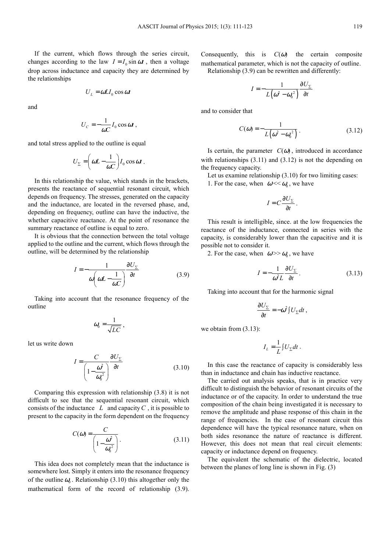If the current, which flows through the series circuit, changes according to the law  $I = I_0 \sin \omega t$ , then a voltage drop across inductance and capacity they are determined by the relationships

$$
U_L = \omega L I_0 \cos \omega t
$$

and

$$
U_C = -\frac{1}{\omega C} I_0 \cos \omega t \,,
$$

and total stress applied to the outline is equal

$$
U_{\Sigma} = \left(\omega L - \frac{1}{\omega C}\right) I_0 \cos \omega t.
$$

In this relationship the value, which stands in the brackets, presents the reactance of sequential resonant circuit, which depends on frequency. The stresses, generated on the capacity and the inductance, are located in the reversed phase, and, depending on frequency, outline can have the inductive, the whether capacitive reactance. At the point of resonance the summary reactance of outline is equal to zero.

It is obvious that the connection between the total voltage applied to the outline and the current, which flows through the outline, will be determined by the relationship

$$
I = -\frac{1}{\omega \left(\omega L - \frac{1}{\omega C}\right)} \frac{\partial U_{\Sigma}}{\partial t}
$$
 (3.9)

Taking into account that the resonance frequency of the outline

$$
\omega_{0}=\frac{1}{\sqrt{LC}},
$$

let us write down

$$
I = \frac{C}{\left(1 - \frac{\omega^2}{\omega_0^2}\right)} \frac{\partial U_{\Sigma}}{\partial t}
$$
 (3.10)

Comparing this expression with relationship (3.8) it is not difficult to see that the sequential resonant circuit, which consists of the inductance  $L$  and capacity  $C$ , it is possible to present to the capacity in the form dependent on the frequency

$$
C(\omega) = \frac{C}{\left(1 - \frac{\omega^2}{\omega_0^2}\right)}.
$$
\n(3.11)

This idea does not completely mean that the inductance is somewhere lost. Simply it enters into the resonance frequency of the outline  $\omega_0$ . Relationship (3.10) this altogether only the mathematical form of the record of relationship (3.9).

Consequently, this is  $C(\omega)$  the certain composite mathematical parameter, which is not the capacity of outline.

Relationship (3.9) can be rewritten and differently:

$$
I = -\frac{1}{L(\omega^2 - {\omega_0}^2)} \frac{\partial U_{\Sigma}}{\partial t}
$$

and to consider that

$$
C(\omega) = -\frac{1}{L(\omega^2 - \omega_0^2)}.
$$
 (3.12)

Is certain, the parameter  $C(\omega)$ , introduced in accordance with relationships  $(3.11)$  and  $(3.12)$  is not the depending on the frequency capacity.

Let us examine relationship (3.10) for two limiting cases: 1. For the case, when  $\omega \ll \omega_0$ , we have

$$
I=C\frac{\partial U_{\Sigma}}{\partial t}.
$$

This result is intelligible, since. at the low frequencies the reactance of the inductance, connected in series with the capacity, is considerably lower than the capacitive and it is possible not to consider it.

2. For the case, when  $\omega \gg \omega_0$ , we have

$$
I = -\frac{1}{\omega^2 L} \frac{\partial U_{\Sigma}}{\partial t}.
$$
 (3.13)

Taking into account that for the harmonic signal

$$
\frac{\partial U_{\Sigma}}{\partial t} = -\omega^2 \int U_{\Sigma} dt \ ,
$$

we obtain from (3.13):

$$
I_L = \frac{1}{L} \int U_{\Sigma} dt \; .
$$

In this case the reactance of capacity is considerably less than in inductance and chain has inductive reactance.

The carried out analysis speaks, that is in practice very difficult to distinguish the behavior of resonant circuits of the inductance or of the capacity. In order to understand the true composition of the chain being investigated it is necessary to remove the amplitude and phase response of this chain in the range of frequencies. In the case of resonant circuit this dependence will have the typical resonance nature, when on both sides resonance the nature of reactance is different. However, this does not mean that real circuit elements: capacity or inductance depend on frequency.

The equivalent the schematic of the dielectric, located between the planes of long line is shown in Fig. (3)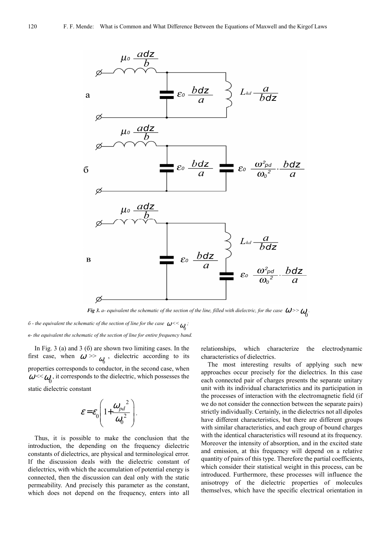

*Fig 3. a- equivalent the schematic of the section of the line, filled with dielectric, for the case*  $\omega$  *>>* $\omega_{0}$ **.** 

*б* - the equivalent the schematic of the section of line for the case  $\omega^{<<}\omega_0$ ; *в- the equivalent the schematic of the section of line for entire frequency band.* 

In Fig. 3 (a) and 3 (б) are shown two limiting cases. In the first case, when  $\omega > \omega$ , dielectric according to its properties corresponds to conductor, in the second case, when  $\omega \ll \omega_0$ , it corresponds to the dielectric, which possesses the static dielectric constant  $\omega_{\!\scriptscriptstyle (\!\varsigma\!)}$ 

$$
\mathcal{E} = \mathcal{E}_0 \left( 1 + \frac{\omega_{pd}^2}{\omega_0^2} \right).
$$

Thus, it is possible to make the conclusion that the introduction, the depending on the frequency dielectric constants of dielectrics, are physical and terminological error. If the discussion deals with the dielectric constant of dielectrics, with which the accumulation of potential energy is connected, then the discussion can deal only with the static permeability. And precisely this parameter as the constant, which does not depend on the frequency, enters into all relationships, which characterize the electrodynamic characteristics of dielectrics.

The most interesting results of applying such new approaches occur precisely for the dielectrics. In this case each connected pair of charges presents the separate unitary unit with its individual characteristics and its participation in the processes of interaction with the electromagnetic field (if we do not consider the connection between the separate pairs) strictly individually. Certainly, in the dielectrics not all dipoles have different characteristics, but there are different groups with similar characteristics, and each group of bound charges with the identical characteristics will resound at its frequency. Moreover the intensity of absorption, and in the excited state and emission, at this frequency will depend on a relative quantity of pairs of this type. Therefore the partial coefficients, which consider their statistical weight in this process, can be introduced. Furthermore, these processes will influence the anisotropy of the dielectric properties of molecules themselves, which have the specific electrical orientation in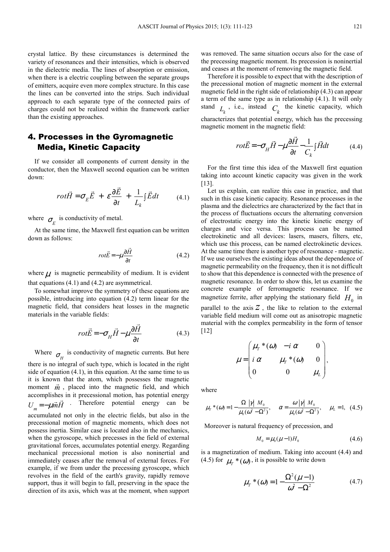crystal lattice. By these circumstances is determined the variety of resonances and their intensities, which is observed in the dielectric media. The lines of absorption or emission, when there is a electric coupling between the separate groups of emitters, acquire even more complex structure. In this case the lines can be converted into the strips. Such individual approach to each separate type of the connected pairs of charges could not be realized within the framework earlier than the existing approaches.

## 4. Processes in the Gyromagnetic Media, Kinetic Capacity

If we consider all components of current density in the conductor, then the Maxwell second equation can be written down:

$$
rot\vec{H} = \sigma_E \vec{E} + \varepsilon \frac{\partial \vec{E}}{\partial t} + \frac{1}{L_k} \int \vec{E} dt
$$
 (4.1)

where  $\sigma_E$  is conductivity of metal.

At the same time, the Maxwell first equation can be written down as follows:

$$
rot\vec{E} = -\mu \frac{\partial \vec{H}}{\partial t}
$$
 (4.2)

where  $\mu$  is magnetic permeability of medium. It is evident that equations (4.1) and (4.2) are asymmetrical.

To somewhat improve the symmetry of these equations are possible, introducing into equation (4.2) term linear for the magnetic field, that considers heat losses in the magnetic materials in the variable fields:

$$
rot\vec{E} = -\sigma_H \vec{H} - \mu \frac{\partial \vec{H}}{\partial t}
$$
(4.3)

 $\overline{a}$ 

Where  $\sigma_H$  is conductivity of magnetic currents. But here there is no integral of such type, which is located in the right side of equation (4.1), in this equation. At the same time to us

it is known that the atom, which possesses the magnetic moment  $\vec{m}$ , placed into the magnetic field, and which accomplishes in it precessional motion, has potential energy<br> $\vec{r}$ . Therefore potential energy can be accumulated not only in the electric fields, but also in the precessional motion of magnetic moments, which does not possess inertia. Similar case is located also in the mechanics, when the gyroscope, which precesses in the field of external gravitational forces, accumulates potential energy. Regarding mechanical precessional motion is also noninertial and immediately ceases after the removal of external forces. For example, if we from under the precessing gyroscope, which revolves in the field of the earth's gravity, rapidly remove support, thus it will begin to fall, preserving in the space the direction of its axis, which was at the moment, when support  $U_m = -\mu \vec{m}H$ 

was removed. The same situation occurs also for the case of the precessing magnetic moment. Its precession is noninertial and ceases at the moment of removing the magnetic field.

Therefore it is possible to expect that with the description of the precessional motion of magnetic moment in the external magnetic field in the right side of relationship (4.3) can appear a term of the same type as in relationship (4.1). It will only stand  $L_k$ , i.e., instead  $C_k$  the kinetic capacity, which characterizes that potential energy, which has the precessing magnetic moment in the magnetic field:

$$
rot\vec{E} = -\sigma_H \vec{H} - \mu \frac{\partial \vec{H}}{\partial t} - \frac{1}{C_k} \int \vec{H} dt
$$
 (4.4)

For the first time this idea of the Maxwell first equation taking into account kinetic capacity was given in the work [13].

Let us explain, can realize this case in practice, and that such in this case kinetic capacity. Resonance processes in the plasma and the dielectrics are characterized by the fact that in the process of fluctuations occurs the alternating conversion of electrostatic energy into the kinetic kinetic energy of charges and vice versa. This process can be named electrokinetic and all devices: lasers, masers, filters, etc, which use this process, can be named electrokinetic devices. At the same time there is another type of resonance - magnetic. If we use ourselves the existing ideas about the dependence of magnetic permeability on the frequency, then it is not difficult to show that this dependence is connected with the presence of magnetic resonance. In order to show this, let us examine the concrete example of ferromagnetic resonance. If we magnetize ferrite, after applying the stationary field  $H_0$  in parallel to the axis  $Z$ , the like to relation to the external variable field medium will come out as anisotropic magnetic material with the complex permeability in the form of tensor [12]

$$
\mu = \begin{pmatrix} \mu_{\scriptscriptstyle T} * (\omega) & -i \alpha & 0 \\ i \alpha & \mu_{\scriptscriptstyle T} * (\omega) & 0 \\ 0 & 0 & \mu_{\scriptscriptstyle L} \end{pmatrix},
$$

where

$$
\mu_{\rm T}^*(\omega) = 1 - \frac{\Omega \ |\gamma| \ M_0}{\mu_0(\omega^2 - \Omega^2)}, \quad \alpha = \frac{\omega \ |\gamma| \ M_0}{\mu_0(\omega^2 - \Omega^2)}, \quad \mu_{\rm L} = 1, \tag{4.5}
$$

Moreover is natural frequency of precession, and

$$
M_0 = \mu_0(\mu - 1)H_0 \tag{4.6}
$$

is a magnetization of medium. Taking into account (4.4) and (4.5) for  $\mu$ <sup>\*</sup> ( $\omega$ ), it is possible to write down

$$
\mu_{T} * (\omega) = 1 - \frac{\Omega^{2}(\mu - 1)}{\omega^{2} - \Omega^{2}} \tag{4.7}
$$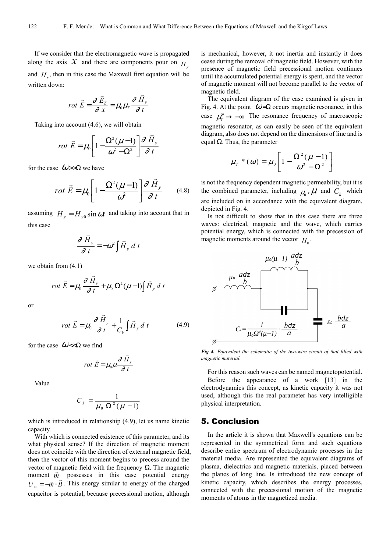If we consider that the electromagnetic wave is propagated along the axis  $\hat{X}$  and there are components pour on  $H_y$ and  $H_z$ , then in this case the Maxwell first equation will be written down:

$$
rot \vec{E} = \frac{\partial \vec{E}_z}{\partial x} = \mu_0 \mu_r \frac{\partial \vec{H}_y}{\partial t}
$$

Taking into account (4.6), we will obtain

$$
rot \vec{E} = \mu_0 \left[ 1 - \frac{\Omega^2 (\mu - 1)}{\omega^2 - \Omega^2} \right] \frac{\partial \vec{H}_y}{\partial t}
$$

for the case  $\omega>>\Omega$  we have

$$
rot\ \vec{E} = \mu_0 \left[ 1 - \frac{\Omega^2 (\mu - 1)}{\omega^2} \right] \frac{\partial \ \vec{H}_y}{\partial \ t} \qquad (4.8)
$$

assuming  $H_y = H_{y0} \sin \omega t$  and taking into account that in this case

$$
\frac{\partial \vec{H}_y}{\partial t} = -\omega^2 \int \vec{H}_y \, dt
$$

we obtain from (4.1)

$$
rot \vec{E} = \mu_0 \frac{\partial \vec{H}_y}{\partial t} + \mu_0 \Omega^2 (\mu - 1) \int \vec{H}_y \, dt
$$

or

$$
rot\ \vec{E} = \mu_0 \frac{\partial \vec{H}_y}{\partial t} + \frac{1}{C_k} \int \vec{H}_y \, dt \tag{4.9}
$$

 $\rightarrow$ 

for the case  $\omega \ll \Omega$  we find

$$
rot\ \vec{E} = \mu_0 \mu \frac{\partial \vec{H}_y}{\partial t}
$$

Value

$$
C_k = \frac{1}{\mu_0 \ \Omega^2 (\mu - 1)}
$$

which is introduced in relationship (4.9), let us name kinetic capacity.

With which is connected existence of this parameter, and its what physical sense? If the direction of magnetic moment does not coincide with the direction of external magnetic field, then the vector of this moment begins to precess around the vector of magnetic field with the frequency  $\Omega$ . The magnetic moment  $\vec{m}$  possesses in this case potential energy  $U_m = -\vec{m} \cdot \vec{B}$ . This energy similar to energy of the charged capacitor is potential, because precessional motion, although

is mechanical, however, it not inertia and instantly it does cease during the removal of magnetic field. However, with the presence of magnetic field precessional motion continues until the accumulated potential energy is spent, and the vector of magnetic moment will not become parallel to the vector of magnetic field.

The equivalent diagram of the case examined is given in Fig. 4. At the point  $\omega = \Omega$  occurs magnetic resonance, in this case  $\mu^*_T \to -\infty$  The resonance frequency of macroscopic magnetic resonator, as can easily be seen of the equivalent diagram, also does not depend on the dimensions of line and is equal  $Ω$ . Thus, the parameter

$$
\mu_{T} * (\omega) = \mu_0 \left[ 1 - \frac{\Omega^2 (\mu - 1)}{\omega^2 - \Omega^2} \right]
$$

is not the frequency dependent magnetic permeability, but it is the combined parameter, including  $\mu_0$ ,  $\mu$  and  $C_k$  which are included on in accordance with the equivalent diagram, depicted in Fig. 4.

Is not difficult to show that in this case there are three waves: electrical, magnetic and the wave, which carries potential energy, which is connected with the precession of magnetic moments around the vector  $H_0$ .



*Fig 4. Equivalent the schematic of the two-wire circuit of that filled with magnetic material.* 

For this reason such waves can be named magnetopotential. Before the appearance of a work [13] in the electrodynamics this concept, as kinetic capacity it was not used, although this the real parameter has very intelligible physical interpretation.

### 5. Conclusion

In the article it is shown that Maxwell's equations can be represented in the symmetrical form and such equations describe entire spectrum of electrodynamic processes in the material media. Are represented the equivalent diagrams of plasma, dielectrics and magnetic materials, placed between the planes of long line. Is introduced the new concept of kinetic capacity, which describes the energy processes, connected with the precessional motion of the magnetic moments of atoms in the magnetized media.